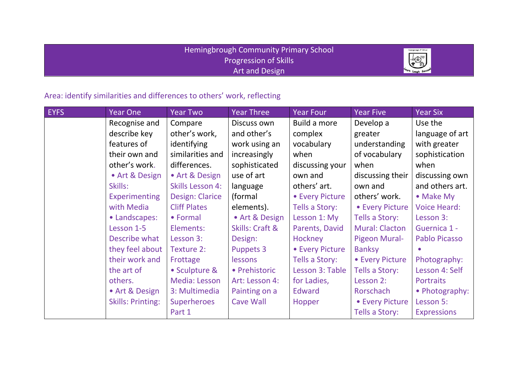## Hemingbrough Community Primary School Progression of Skills Art and Design



## Area: identify similarities and differences to others' work, reflecting

| <b>EYFS</b> | <b>Year One</b>          | <b>Year Two</b>         | Year Three       | Year Four              | <b>Year Five</b>      | <b>Year Six</b>      |
|-------------|--------------------------|-------------------------|------------------|------------------------|-----------------------|----------------------|
|             | Recognise and            | Compare                 | Discuss own      | Build a more           | Develop a             | Use the              |
|             | describe key             | other's work,           | and other's      | complex                | greater               | language of art      |
|             | features of              | identifying             | work using an    | vocabulary             | understanding         | with greater         |
|             | their own and            | similarities and        | increasingly     | when                   | of vocabulary         | sophistication       |
|             | other's work.            | differences.            | sophisticated    | discussing your        | when                  | when                 |
|             | • Art & Design           | • Art & Design          | use of art       | own and                | discussing their      | discussing own       |
|             | Skills:                  | <b>Skills Lesson 4:</b> | language         | others' art.           | own and               | and others art.      |
|             | <b>Experimenting</b>     | <b>Design: Clarice</b>  | (formal          | <b>• Every Picture</b> | others' work.         | • Make My            |
|             | with Media               | <b>Cliff Plates</b>     | elements).       | Tells a Story:         | • Every Picture       | <b>Voice Heard:</b>  |
|             | • Landscapes:            | • Formal                | • Art & Design   | Lesson 1: My           | Tells a Story:        | Lesson 3:            |
|             | Lesson 1-5               | Elements:               | Skills: Craft &  | Parents, David         | <b>Mural: Clacton</b> | Guernica 1 -         |
|             | Describe what            | Lesson 3:               | Design:          | Hockney                | Pigeon Mural-         | <b>Pablo Picasso</b> |
|             | they feel about          | Texture 2:              | <b>Puppets 3</b> | <b>• Every Picture</b> | <b>Banksy</b>         |                      |
|             | their work and           | Frottage                | lessons          | Tells a Story:         | • Every Picture       | Photography:         |
|             | the art of               | • Sculpture &           | • Prehistoric    | Lesson 3: Table        | Tells a Story:        | Lesson 4: Self       |
|             | others.                  | Media: Lesson           | Art: Lesson 4:   | for Ladies,            | Lesson 2:             | <b>Portraits</b>     |
|             | • Art & Design           | 3: Multimedia           | Painting on a    | <b>Edward</b>          | Rorschach             | • Photography:       |
|             | <b>Skills: Printing:</b> | <b>Superheroes</b>      | Cave Wall        | Hopper                 | • Every Picture       | Lesson 5:            |
|             |                          | Part 1                  |                  |                        | Tells a Story:        | <b>Expressions</b>   |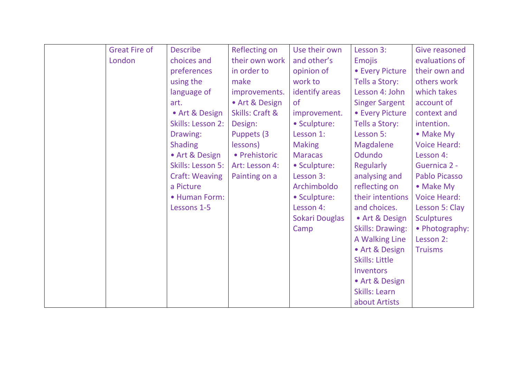| <b>Great Fire of</b> | <b>Describe</b>       | <b>Reflecting on</b> | Use their own  | Lesson 3:               | Give reasoned        |
|----------------------|-----------------------|----------------------|----------------|-------------------------|----------------------|
| London               | choices and           | their own work       | and other's    | <b>Emojis</b>           | evaluations of       |
|                      | preferences           | in order to          | opinion of     | • Every Picture         | their own and        |
|                      | using the             | make                 | work to        | Tells a Story:          | others work          |
|                      | language of           | improvements.        | identify areas | Lesson 4: John          | which takes          |
|                      | art.                  | • Art & Design       | <b>of</b>      | <b>Singer Sargent</b>   | account of           |
|                      | • Art & Design        | Skills: Craft &      | improvement.   | • Every Picture         | context and          |
|                      | Skills: Lesson 2:     | Design:              | • Sculpture:   | Tells a Story:          | intention.           |
|                      | Drawing:              | Puppets (3)          | Lesson 1:      | Lesson 5:               | • Make My            |
|                      | <b>Shading</b>        | lessons)             | <b>Making</b>  | <b>Magdalene</b>        | <b>Voice Heard:</b>  |
|                      | • Art & Design        | • Prehistoric        | <b>Maracas</b> | Odundo                  | Lesson 4:            |
|                      | Skills: Lesson 5:     | Art: Lesson 4:       | • Sculpture:   | <b>Regularly</b>        | <b>Guernica 2 -</b>  |
|                      | <b>Craft: Weaving</b> | Painting on a        | Lesson 3:      | analysing and           | <b>Pablo Picasso</b> |
|                      | a Picture             |                      | Archimboldo    | reflecting on           | • Make My            |
|                      | • Human Form:         |                      | • Sculpture:   | their intentions        | <b>Voice Heard:</b>  |
|                      | Lessons 1-5           |                      | Lesson 4:      | and choices.            | Lesson 5: Clay       |
|                      |                       |                      | Sokari Douglas | • Art & Design          | <b>Sculptures</b>    |
|                      |                       |                      | Camp           | <b>Skills: Drawing:</b> | • Photography:       |
|                      |                       |                      |                | A Walking Line          | Lesson 2:            |
|                      |                       |                      |                | • Art & Design          | <b>Truisms</b>       |
|                      |                       |                      |                | <b>Skills: Little</b>   |                      |
|                      |                       |                      |                | Inventors               |                      |
|                      |                       |                      |                | • Art & Design          |                      |
|                      |                       |                      |                | Skills: Learn           |                      |
|                      |                       |                      |                | about Artists           |                      |